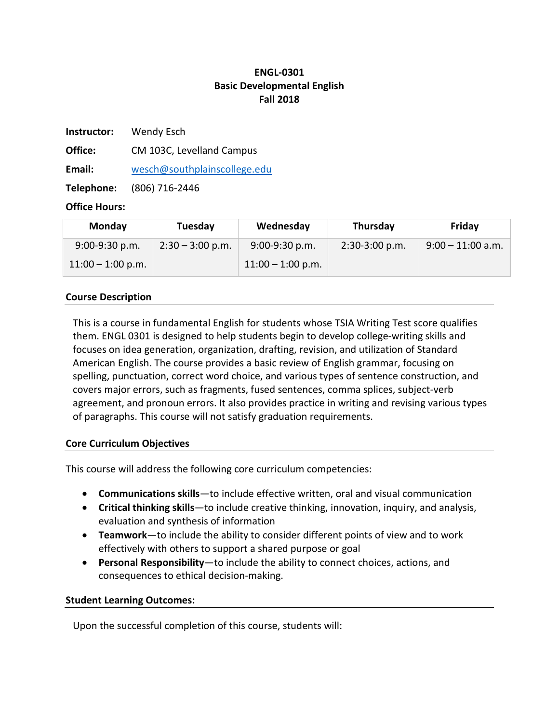# **ENGL-0301 Basic Developmental English Fall 2018**

**Instructor:** Wendy Esch

**Office:** CM 103C, Levelland Campus

**Email:** [wesch@southplainscollege.edu](mailto:wesch@southplainscollege.edu)

**Telephone:** (806) 716-2446

### **Office Hours:**

| Monday              | Tuesday            | Wednesday           | Thursday         | Friday              |
|---------------------|--------------------|---------------------|------------------|---------------------|
| $9:00-9:30$ p.m.    | $2:30 - 3:00$ p.m. | $9:00-9:30 p.m.$    | $2:30-3:00$ p.m. | $9:00 - 11:00$ a.m. |
| $11:00 - 1:00$ p.m. |                    | $11:00 - 1:00$ p.m. |                  |                     |

# **Course Description**

This is a course in fundamental English for students whose TSIA Writing Test score qualifies them. ENGL 0301 is designed to help students begin to develop college-writing skills and focuses on idea generation, organization, drafting, revision, and utilization of Standard American English. The course provides a basic review of English grammar, focusing on spelling, punctuation, correct word choice, and various types of sentence construction, and covers major errors, such as fragments, fused sentences, comma splices, subject-verb agreement, and pronoun errors. It also provides practice in writing and revising various types of paragraphs. This course will not satisfy graduation requirements.

### **Core Curriculum Objectives**

This course will address the following core curriculum competencies:

- **Communications skills**—to include effective written, oral and visual communication
- **Critical thinking skills**—to include creative thinking, innovation, inquiry, and analysis, evaluation and synthesis of information
- **Teamwork**—to include the ability to consider different points of view and to work effectively with others to support a shared purpose or goal
- **Personal Responsibility**—to include the ability to connect choices, actions, and consequences to ethical decision-making.

### **Student Learning Outcomes:**

Upon the successful completion of this course, students will: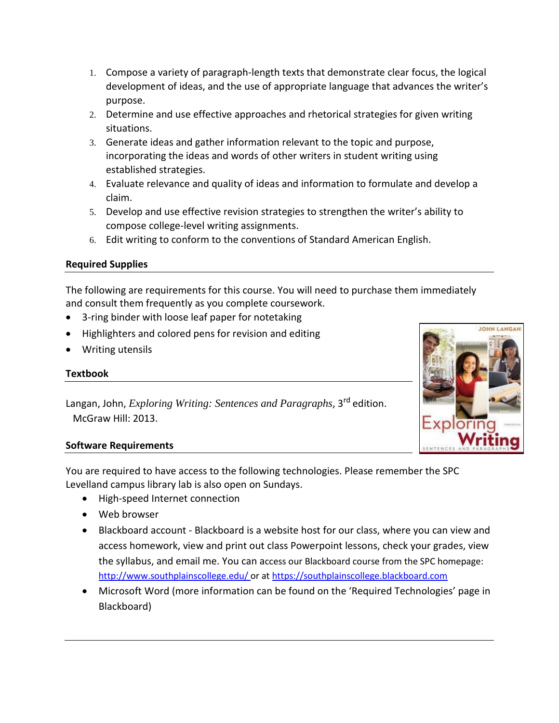- 1. Compose a variety of paragraph-length texts that demonstrate clear focus, the logical development of ideas, and the use of appropriate language that advances the writer's purpose.
- 2. Determine and use effective approaches and rhetorical strategies for given writing situations.
- 3. Generate ideas and gather information relevant to the topic and purpose, incorporating the ideas and words of other writers in student writing using established strategies.
- 4. Evaluate relevance and quality of ideas and information to formulate and develop a claim.
- 5. Develop and use effective revision strategies to strengthen the writer's ability to compose college-level writing assignments.
- 6. Edit writing to conform to the conventions of Standard American English.

# **Required Supplies**

The following are requirements for this course. You will need to purchase them immediately and consult them frequently as you complete coursework.

- 3-ring binder with loose leaf paper for notetaking
- Highlighters and colored pens for revision and editing
- Writing utensils

# **Textbook**

Langan, John, *Exploring Writing: Sentences and Paragraphs*, 3rd edition. McGraw Hill: 2013.



### **Software Requirements**

You are required to have access to the following technologies. Please remember the SPC Levelland campus library lab is also open on Sundays.

- High-speed Internet connection
- Web browser
- Blackboard account Blackboard is a website host for our class, where you can view and access homework, view and print out class Powerpoint lessons, check your grades, view the syllabus, and email me. You can access our Blackboard course from the SPC homepage[:](http://www.southplainscollege.edu/) <http://www.southplainscollege.edu/> [or](http://www.southplainscollege.edu/) at [https://southplainscollege.blackboard.com](https://southplainscollege.blackboard.com/)
- Microsoft Word (more information can be found on the 'Required Technologies' page in Blackboard)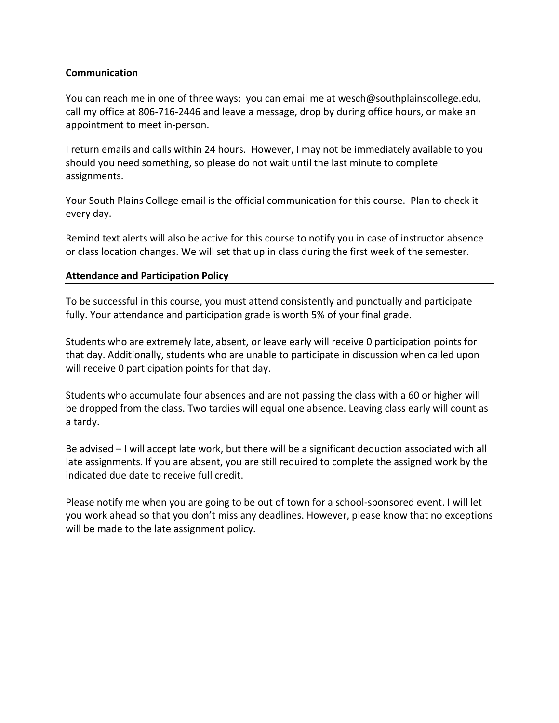#### **Communication**

You can reach me in one of three ways: you can email me at wesch@southplainscollege.edu, call my office at 806-716-2446 and leave a message, drop by during office hours, or make an appointment to meet in-person.

I return emails and calls within 24 hours. However, I may not be immediately available to you should you need something, so please do not wait until the last minute to complete assignments.

Your South Plains College email is the official communication for this course. Plan to check it every day.

Remind text alerts will also be active for this course to notify you in case of instructor absence or class location changes. We will set that up in class during the first week of the semester.

#### **Attendance and Participation Policy**

To be successful in this course, you must attend consistently and punctually and participate fully. Your attendance and participation grade is worth 5% of your final grade.

Students who are extremely late, absent, or leave early will receive 0 participation points for that day. Additionally, students who are unable to participate in discussion when called upon will receive 0 participation points for that day.

Students who accumulate four absences and are not passing the class with a 60 or higher will be dropped from the class. Two tardies will equal one absence. Leaving class early will count as a tardy.

Be advised – I will accept late work, but there will be a significant deduction associated with all late assignments. If you are absent, you are still required to complete the assigned work by the indicated due date to receive full credit.

Please notify me when you are going to be out of town for a school-sponsored event. I will let you work ahead so that you don't miss any deadlines. However, please know that no exceptions will be made to the late assignment policy.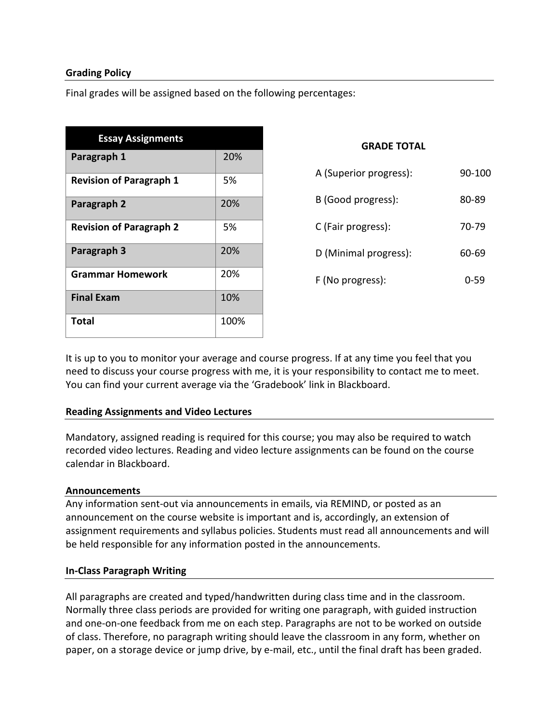### **Grading Policy**

Final grades will be assigned based on the following percentages:

| <b>Essay Assignments</b>       |      |
|--------------------------------|------|
| Paragraph 1                    | 20%  |
| <b>Revision of Paragraph 1</b> | 5%   |
| Paragraph 2                    | 20%  |
| <b>Revision of Paragraph 2</b> | 5%   |
| Paragraph 3                    | 20%  |
| <b>Grammar Homework</b>        | 20%  |
| <b>Final Exam</b>              | 10%  |
| Total                          | 100% |

#### **GRADE TOTAL**

| A (Superior progress): | 90-100   |
|------------------------|----------|
| B (Good progress):     | 80-89    |
| C (Fair progress):     | 70-79    |
| D (Minimal progress):  | 60-69    |
| F (No progress):       | $0 - 59$ |

It is up to you to monitor your average and course progress. If at any time you feel that you need to discuss your course progress with me, it is your responsibility to contact me to meet. You can find your current average via the 'Gradebook' link in Blackboard.

### **Reading Assignments and Video Lectures**

Mandatory, assigned reading is required for this course; you may also be required to watch recorded video lectures. Reading and video lecture assignments can be found on the course calendar in Blackboard.

#### **Announcements**

Any information sent-out via announcements in emails, via REMIND, or posted as an announcement on the course website is important and is, accordingly, an extension of assignment requirements and syllabus policies. Students must read all announcements and will be held responsible for any information posted in the announcements.

### **In-Class Paragraph Writing**

All paragraphs are created and typed/handwritten during class time and in the classroom. Normally three class periods are provided for writing one paragraph, with guided instruction and one-on-one feedback from me on each step. Paragraphs are not to be worked on outside of class. Therefore, no paragraph writing should leave the classroom in any form, whether on paper, on a storage device or jump drive, by e-mail, etc., until the final draft has been graded.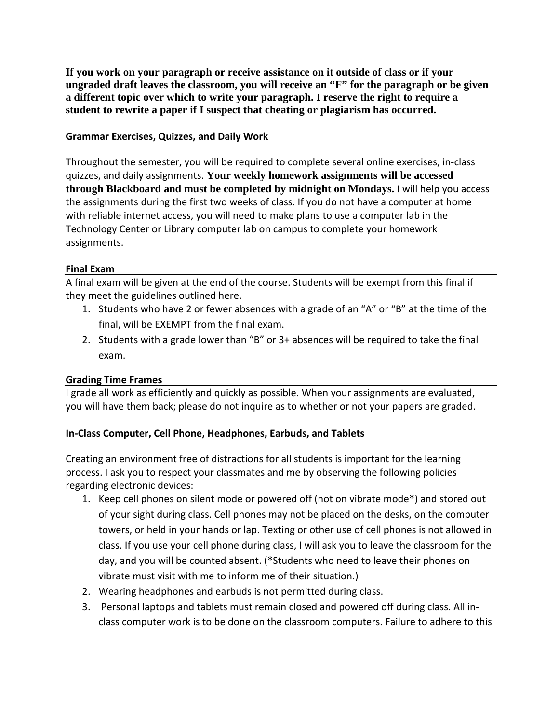**If you work on your paragraph or receive assistance on it outside of class or if your ungraded draft leaves the classroom, you will receive an "F" for the paragraph or be given a different topic over which to write your paragraph. I reserve the right to require a student to rewrite a paper if I suspect that cheating or plagiarism has occurred.**

### **Grammar Exercises, Quizzes, and Daily Work**

Throughout the semester, you will be required to complete several online exercises, in-class quizzes, and daily assignments. **Your weekly homework assignments will be accessed through Blackboard and must be completed by midnight on Mondays.** I will help you access the assignments during the first two weeks of class. If you do not have a computer at home with reliable internet access, you will need to make plans to use a computer lab in the Technology Center or Library computer lab on campus to complete your homework assignments.

### **Final Exam**

A final exam will be given at the end of the course. Students will be exempt from this final if they meet the guidelines outlined here.

- 1. Students who have 2 or fewer absences with a grade of an "A" or "B" at the time of the final, will be EXEMPT from the final exam.
- 2. Students with a grade lower than "B" or 3+ absences will be required to take the final exam.

### **Grading Time Frames**

I grade all work as efficiently and quickly as possible. When your assignments are evaluated, you will have them back; please do not inquire as to whether or not your papers are graded.

# **In-Class Computer, Cell Phone, Headphones, Earbuds, and Tablets**

Creating an environment free of distractions for all students is important for the learning process. I ask you to respect your classmates and me by observing the following policies regarding electronic devices:

- 1. Keep cell phones on silent mode or powered off (not on vibrate mode\*) and stored out of your sight during class. Cell phones may not be placed on the desks, on the computer towers, or held in your hands or lap. Texting or other use of cell phones is not allowed in class. If you use your cell phone during class, I will ask you to leave the classroom for the day, and you will be counted absent. (\*Students who need to leave their phones on vibrate must visit with me to inform me of their situation.)
- 2. Wearing headphones and earbuds is not permitted during class.
- 3. Personal laptops and tablets must remain closed and powered off during class. All inclass computer work is to be done on the classroom computers. Failure to adhere to this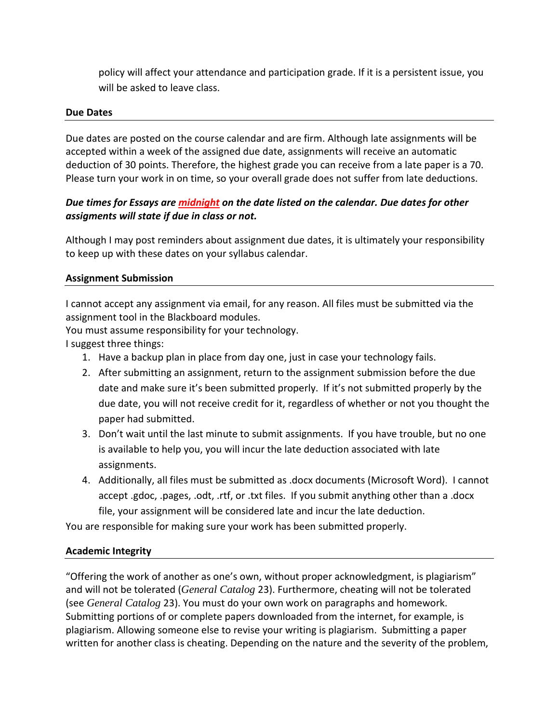policy will affect your attendance and participation grade. If it is a persistent issue, you will be asked to leave class.

#### **Due Dates**

Due dates are posted on the course calendar and are firm. Although late assignments will be accepted within a week of the assigned due date, assignments will receive an automatic deduction of 30 points. Therefore, the highest grade you can receive from a late paper is a 70. Please turn your work in on time, so your overall grade does not suffer from late deductions.

# *Due times for Essays are midnight on the date listed on the calendar. Due dates for other assigments will state if due in class or not.*

Although I may post reminders about assignment due dates, it is ultimately your responsibility to keep up with these dates on your syllabus calendar.

### **Assignment Submission**

I cannot accept any assignment via email, for any reason. All files must be submitted via the assignment tool in the Blackboard modules.

You must assume responsibility for your technology.

I suggest three things:

- 1. Have a backup plan in place from day one, just in case your technology fails.
- 2. After submitting an assignment, return to the assignment submission before the due date and make sure it's been submitted properly. If it's not submitted properly by the due date, you will not receive credit for it, regardless of whether or not you thought the paper had submitted.
- 3. Don't wait until the last minute to submit assignments. If you have trouble, but no one is available to help you, you will incur the late deduction associated with late assignments.
- 4. Additionally, all files must be submitted as .docx documents (Microsoft Word). I cannot accept .gdoc, .pages, .odt, .rtf, or .txt files. If you submit anything other than a .docx file, your assignment will be considered late and incur the late deduction.

You are responsible for making sure your work has been submitted properly.

### **Academic Integrity**

"Offering the work of another as one's own, without proper acknowledgment, is plagiarism" and will not be tolerated (*General Catalog* 23). Furthermore, cheating will not be tolerated (see *General Catalog* 23). You must do your own work on paragraphs and homework. Submitting portions of or complete papers downloaded from the internet, for example, is plagiarism. Allowing someone else to revise your writing is plagiarism. Submitting a paper written for another class is cheating. Depending on the nature and the severity of the problem,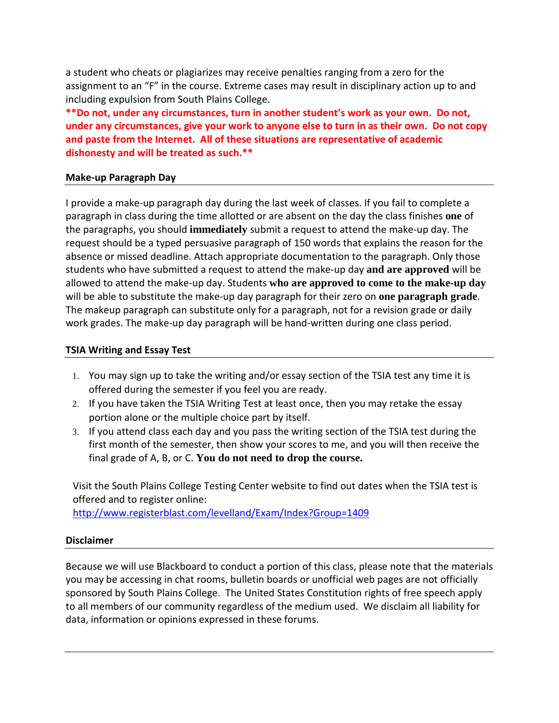a student who cheats or plagiarizes may receive penalties ranging from a zero for the assignment to an "F" in the course. Extreme cases may result in disciplinary action up to and including expulsion from South Plains College.

**\*\*Do not, under any circumstances, turn in another student's work as your own. Do not, under any circumstances, give your work to anyone else to turn in as their own. Do not copy and paste from the Internet. All of these situations are representative of academic dishonesty and will be treated as such.\*\***

#### **Make-up Paragraph Day**

I provide a make-up paragraph day during the last week of classes. If you fail to complete a paragraph in class during the time allotted or are absent on the day the class finishes **one** of the paragraphs, you should **immediately** submit a request to attend the make-up day. The request should be a typed persuasive paragraph of 150 words that explains the reason for the absence or missed deadline. Attach appropriate documentation to the paragraph. Only those students who have submitted a request to attend the make-up day **and are approved** will be allowed to attend the make-up day. Students **who are approved to come to the make-up day**  will be able to substitute the make-up day paragraph for their zero on **one paragraph grade**. The makeup paragraph can substitute only for a paragraph, not for a revision grade or daily work grades. The make-up day paragraph will be hand-written during one class period.

### **TSIA Writing and Essay Test**

- 1. You may sign up to take the writing and/or essay section of the TSIA test any time it is offered during the semester if you feel you are ready.
- 2. If you have taken the TSIA Writing Test at least once, then you may retake the essay portion alone or the multiple choice part by itself.
- 3. If you attend class each day and you pass the writing section of the TSIA test during the first month of the semester, then show your scores to me, and you will then receive the final grade of A, B, or C. **You do not need to drop the course.**

Visit the South Plains College Testing Center website to find out dates when the TSIA test is offered and to register online: <http://www.registerblast.com/levelland/Exam/Index?Group=1409>

#### **Disclaimer**

Because we will use Blackboard to conduct a portion of this class, please note that the materials you may be accessing in chat rooms, bulletin boards or unofficial web pages are not officially sponsored by South Plains College. The United States Constitution rights of free speech apply to all members of our community regardless of the medium used. We disclaim all liability for data, information or opinions expressed in these forums.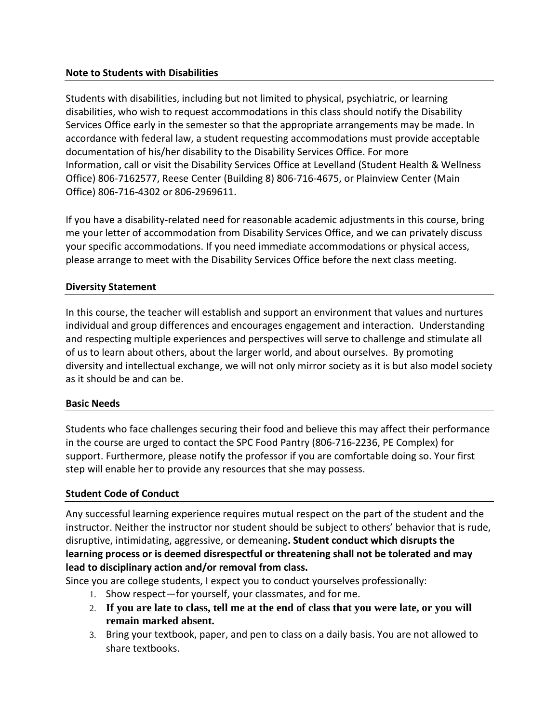### **Note to Students with Disabilities**

Students with disabilities, including but not limited to physical, psychiatric, or learning disabilities, who wish to request accommodations in this class should notify the Disability Services Office early in the semester so that the appropriate arrangements may be made. In accordance with federal law, a student requesting accommodations must provide acceptable documentation of his/her disability to the Disability Services Office. For more Information, call or visit the Disability Services Office at Levelland (Student Health & Wellness Office) 806-7162577, Reese Center (Building 8) 806-716-4675, or Plainview Center (Main Office) 806-716-4302 or 806-2969611.

If you have a disability-related need for reasonable academic adjustments in this course, bring me your letter of accommodation from Disability Services Office, and we can privately discuss your specific accommodations. If you need immediate accommodations or physical access, please arrange to meet with the Disability Services Office before the next class meeting.

# **Diversity Statement**

In this course, the teacher will establish and support an environment that values and nurtures individual and group differences and encourages engagement and interaction. Understanding and respecting multiple experiences and perspectives will serve to challenge and stimulate all of us to learn about others, about the larger world, and about ourselves. By promoting diversity and intellectual exchange, we will not only mirror society as it is but also model society as it should be and can be.

### **Basic Needs**

Students who face challenges securing their food and believe this may affect their performance in the course are urged to contact the SPC Food Pantry (806-716-2236, PE Complex) for support. Furthermore, please notify the professor if you are comfortable doing so. Your first step will enable her to provide any resources that she may possess.

# **Student Code of Conduct**

Any successful learning experience requires mutual respect on the part of the student and the instructor. Neither the instructor nor student should be subject to others' behavior that is rude, disruptive, intimidating, aggressive, or demeaning**. Student conduct which disrupts the learning process or is deemed disrespectful or threatening shall not be tolerated and may lead to disciplinary action and/or removal from class.**

Since you are college students, I expect you to conduct yourselves professionally:

- 1. Show respect—for yourself, your classmates, and for me.
- 2. **If you are late to class, tell me at the end of class that you were late, or you will remain marked absent.**
- 3. Bring your textbook, paper, and pen to class on a daily basis. You are not allowed to share textbooks.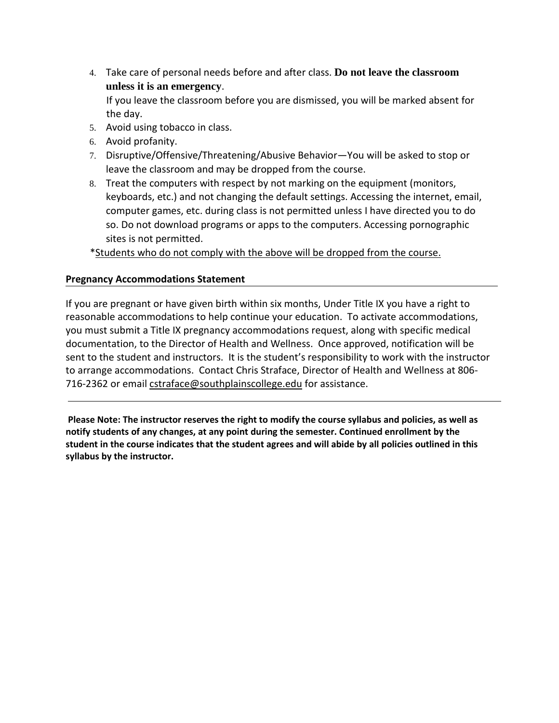4. Take care of personal needs before and after class. **Do not leave the classroom unless it is an emergency**.

If you leave the classroom before you are dismissed, you will be marked absent for the day.

- 5. Avoid using tobacco in class.
- 6. Avoid profanity.
- 7. Disruptive/Offensive/Threatening/Abusive Behavior—You will be asked to stop or leave the classroom and may be dropped from the course.
- 8. Treat the computers with respect by not marking on the equipment (monitors, keyboards, etc.) and not changing the default settings. Accessing the internet, email, computer games, etc. during class is not permitted unless I have directed you to do so. Do not download programs or apps to the computers. Accessing pornographic sites is not permitted.

\*Students who do not comply with the above will be dropped from the course.

### **Pregnancy Accommodations Statement**

If you are pregnant or have given birth within six months, Under Title IX you have a right to reasonable accommodations to help continue your education. To activate accommodations, you must submit a Title IX pregnancy accommodations request, along with specific medical documentation, to the Director of Health and Wellness. Once approved, notification will be sent to the student and instructors. It is the student's responsibility to work with the instructor to arrange accommodations. Contact Chris Straface, Director of Health and Wellness at 806- 716-2362 or email [cstraface@southplainscollege.edu](mailto:cstraface@southplainscollege.edu) for assistance.

**Please Note: The instructor reserves the right to modify the course syllabus and policies, as well as notify students of any changes, at any point during the semester. Continued enrollment by the student in the course indicates that the student agrees and will abide by all policies outlined in this syllabus by the instructor.**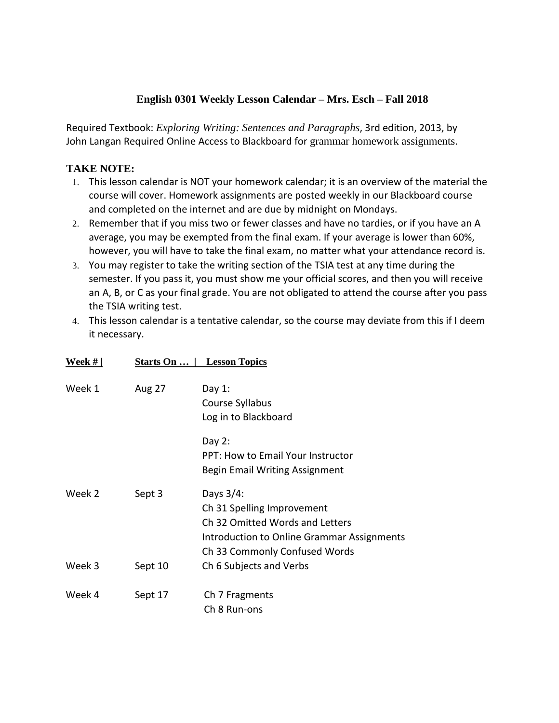# **English 0301 Weekly Lesson Calendar – Mrs. Esch – Fall 2018**

Required Textbook: *Exploring Writing: Sentences and Paragraphs*, 3rd edition, 2013, by John Langan Required Online Access to Blackboard for grammar homework assignments.

# **TAKE NOTE:**

- 1. This lesson calendar is NOT your homework calendar; it is an overview of the material the course will cover. Homework assignments are posted weekly in our Blackboard course and completed on the internet and are due by midnight on Mondays.
- 2. Remember that if you miss two or fewer classes and have no tardies, or if you have an A average, you may be exempted from the final exam. If your average is lower than 60%, however, you will have to take the final exam, no matter what your attendance record is.
- 3. You may register to take the writing section of the TSIA test at any time during the semester. If you pass it, you must show me your official scores, and then you will receive an A, B, or C as your final grade. You are not obligated to attend the course after you pass the TSIA writing test.
- 4. This lesson calendar is a tentative calendar, so the course may deviate from this if I deem it necessary.

| Week $#$ | Starts On   <br><b>Lesson Topics</b> |                                                                                                                                                              |  |
|----------|--------------------------------------|--------------------------------------------------------------------------------------------------------------------------------------------------------------|--|
| Week 1   | <b>Aug 27</b>                        | Day $1$ :<br>Course Syllabus<br>Log in to Blackboard                                                                                                         |  |
|          |                                      | Day $2:$<br><b>PPT: How to Email Your Instructor</b><br>Begin Email Writing Assignment                                                                       |  |
| Week 2   | Sept 3                               | Days $3/4$ :<br>Ch 31 Spelling Improvement<br>Ch 32 Omitted Words and Letters<br>Introduction to Online Grammar Assignments<br>Ch 33 Commonly Confused Words |  |
| Week 3   | Sept 10                              | Ch 6 Subjects and Verbs                                                                                                                                      |  |
| Week 4   | Sept 17                              | Ch 7 Fragments<br>Ch 8 Run-ons                                                                                                                               |  |